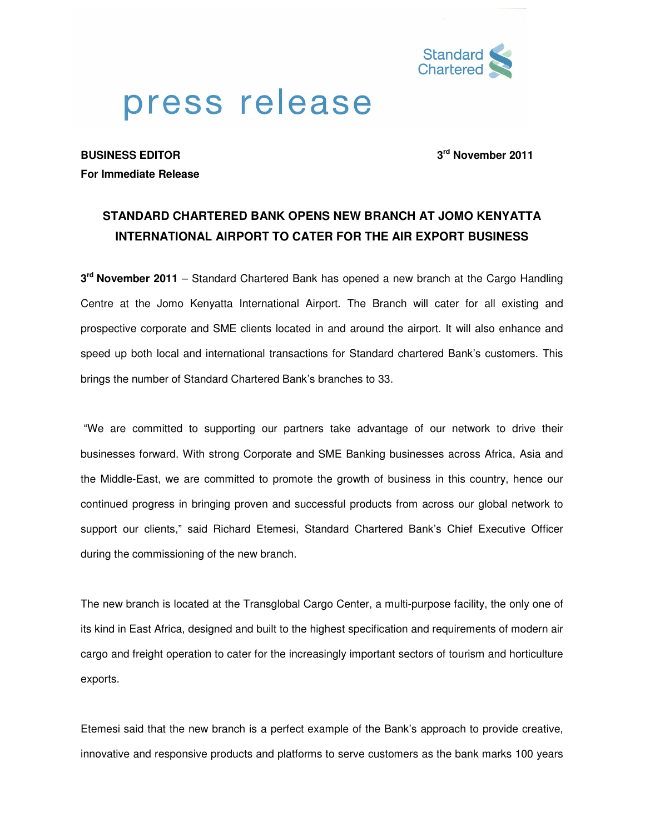

# press release

**BUSINESS EDITOR 3rd November 2011 For Immediate Release**

## **STANDARD CHARTERED BANK OPENS NEW BRANCH AT JOMO KENYATTA INTERNATIONAL AIRPORT TO CATER FOR THE AIR EXPORT BUSINESS**

**3 rd November 2011** – Standard Chartered Bank has opened a new branch at the Cargo Handling Centre at the Jomo Kenyatta International Airport. The Branch will cater for all existing and prospective corporate and SME clients located in and around the airport. It will also enhance and speed up both local and international transactions for Standard chartered Bank's customers. This brings the number of Standard Chartered Bank's branches to 33.

 "We are committed to supporting our partners take advantage of our network to drive their businesses forward. With strong Corporate and SME Banking businesses across Africa, Asia and the Middle-East, we are committed to promote the growth of business in this country, hence our continued progress in bringing proven and successful products from across our global network to support our clients," said Richard Etemesi, Standard Chartered Bank's Chief Executive Officer during the commissioning of the new branch.

The new branch is located at the Transglobal Cargo Center, a multi-purpose facility, the only one of its kind in East Africa, designed and built to the highest specification and requirements of modern air cargo and freight operation to cater for the increasingly important sectors of tourism and horticulture exports.

Etemesi said that the new branch is a perfect example of the Bank's approach to provide creative, innovative and responsive products and platforms to serve customers as the bank marks 100 years